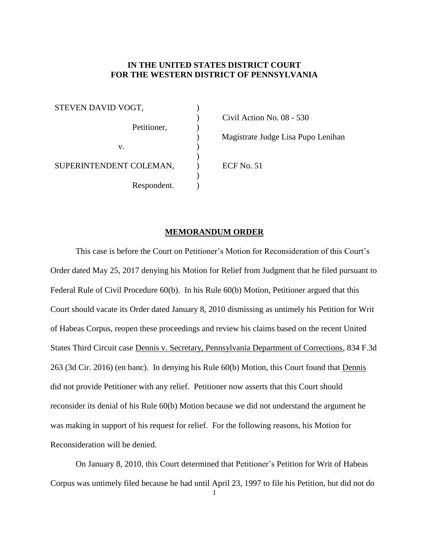## **IN THE UNITED STATES DISTRICT COURT FOR THE WESTERN DISTRICT OF PENNSYLVANIA**

 $\lambda$ 

 $\mathcal{L}$ 

) )

 $\mathcal{L}$  $\mathcal{L}$ 

STEVEN DAVID VOGT, Petitioner, v. SUPERINTENDENT COLEMAN, Respondent.

) Civil Action No. 08 - 530

) Magistrate Judge Lisa Pupo Lenihan

) ECF No. 51

## **MEMORANDUM ORDER**

This case is before the Court on Petitioner's Motion for Reconsideration of this Court's Order dated May 25, 2017 denying his Motion for Relief from Judgment that he filed pursuant to Federal Rule of Civil Procedure 60(b). In his Rule 60(b) Motion, Petitioner argued that this Court should vacate its Order dated January 8, 2010 dismissing as untimely his Petition for Writ of Habeas Corpus, reopen these proceedings and review his claims based on the recent United States Third Circuit case Dennis v. Secretary, Pennsylvania Department of Corrections, 834 F.3d 263 (3d Cir. 2016) (en banc). In denying his Rule 60(b) Motion, this Court found that Dennis did not provide Petitioner with any relief. Petitioner now asserts that this Court should reconsider its denial of his Rule 60(b) Motion because we did not understand the argument he was making in support of his request for relief. For the following reasons, his Motion for Reconsideration will be denied.

On January 8, 2010, this Court determined that Petitioner's Petition for Writ of Habeas Corpus was untimely filed because he had until April 23, 1997 to file his Petition, but did not do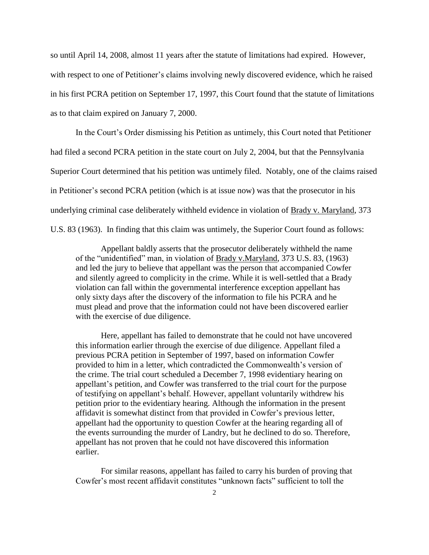so until April 14, 2008, almost 11 years after the statute of limitations had expired. However, with respect to one of Petitioner's claims involving newly discovered evidence, which he raised in his first PCRA petition on September 17, 1997, this Court found that the statute of limitations as to that claim expired on January 7, 2000.

In the Court's Order dismissing his Petition as untimely, this Court noted that Petitioner had filed a second PCRA petition in the state court on July 2, 2004, but that the Pennsylvania Superior Court determined that his petition was untimely filed. Notably, one of the claims raised in Petitioner's second PCRA petition (which is at issue now) was that the prosecutor in his underlying criminal case deliberately withheld evidence in violation of Brady v. Maryland, 373 U.S. 83 (1963). In finding that this claim was untimely, the Superior Court found as follows:

Appellant baldly asserts that the prosecutor deliberately withheld the name of the "unidentified" man, in violation of Brady v.Maryland, 373 U.S. 83, (1963) and led the jury to believe that appellant was the person that accompanied Cowfer and silently agreed to complicity in the crime. While it is well-settled that a Brady violation can fall within the governmental interference exception appellant has only sixty days after the discovery of the information to file his PCRA and he must plead and prove that the information could not have been discovered earlier with the exercise of due diligence.

Here, appellant has failed to demonstrate that he could not have uncovered this information earlier through the exercise of due diligence. Appellant filed a previous PCRA petition in September of 1997, based on information Cowfer provided to him in a letter, which contradicted the Commonwealth's version of the crime. The trial court scheduled a December 7, 1998 evidentiary hearing on appellant's petition, and Cowfer was transferred to the trial court for the purpose of testifying on appellant's behalf. However, appellant voluntarily withdrew his petition prior to the evidentiary hearing. Although the information in the present affidavit is somewhat distinct from that provided in Cowfer's previous letter, appellant had the opportunity to question Cowfer at the hearing regarding all of the events surrounding the murder of Landry, but he declined to do so. Therefore, appellant has not proven that he could not have discovered this information earlier.

For similar reasons, appellant has failed to carry his burden of proving that Cowfer's most recent affidavit constitutes "unknown facts" sufficient to toll the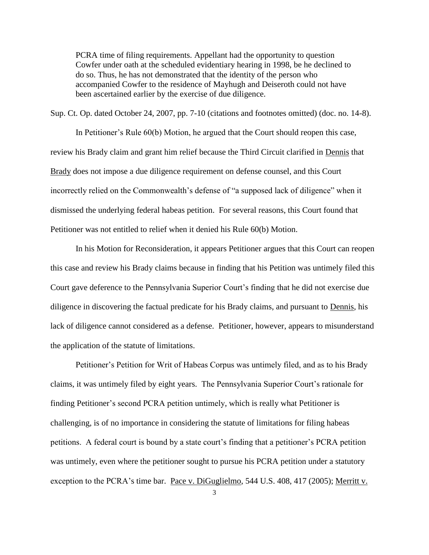PCRA time of filing requirements. Appellant had the opportunity to question Cowfer under oath at the scheduled evidentiary hearing in 1998, be he declined to do so. Thus, he has not demonstrated that the identity of the person who accompanied Cowfer to the residence of Mayhugh and Deiseroth could not have been ascertained earlier by the exercise of due diligence.

Sup. Ct. Op. dated October 24, 2007, pp. 7-10 (citations and footnotes omitted) (doc. no. 14-8).

In Petitioner's Rule 60(b) Motion, he argued that the Court should reopen this case, review his Brady claim and grant him relief because the Third Circuit clarified in Dennis that Brady does not impose a due diligence requirement on defense counsel, and this Court incorrectly relied on the Commonwealth's defense of "a supposed lack of diligence" when it dismissed the underlying federal habeas petition. For several reasons, this Court found that Petitioner was not entitled to relief when it denied his Rule 60(b) Motion.

In his Motion for Reconsideration, it appears Petitioner argues that this Court can reopen this case and review his Brady claims because in finding that his Petition was untimely filed this Court gave deference to the Pennsylvania Superior Court's finding that he did not exercise due diligence in discovering the factual predicate for his Brady claims, and pursuant to Dennis, his lack of diligence cannot considered as a defense. Petitioner, however, appears to misunderstand the application of the statute of limitations.

Petitioner's Petition for Writ of Habeas Corpus was untimely filed, and as to his Brady claims, it was untimely filed by eight years. The Pennsylvania Superior Court's rationale for finding Petitioner's second PCRA petition untimely, which is really what Petitioner is challenging, is of no importance in considering the statute of limitations for filing habeas petitions. A federal court is bound by a state court's finding that a petitioner's PCRA petition was untimely, even where the petitioner sought to pursue his PCRA petition under a statutory exception to the PCRA's time bar. Pace v. DiGuglielmo, 544 U.S. 408, 417 (2005); Merritt v.